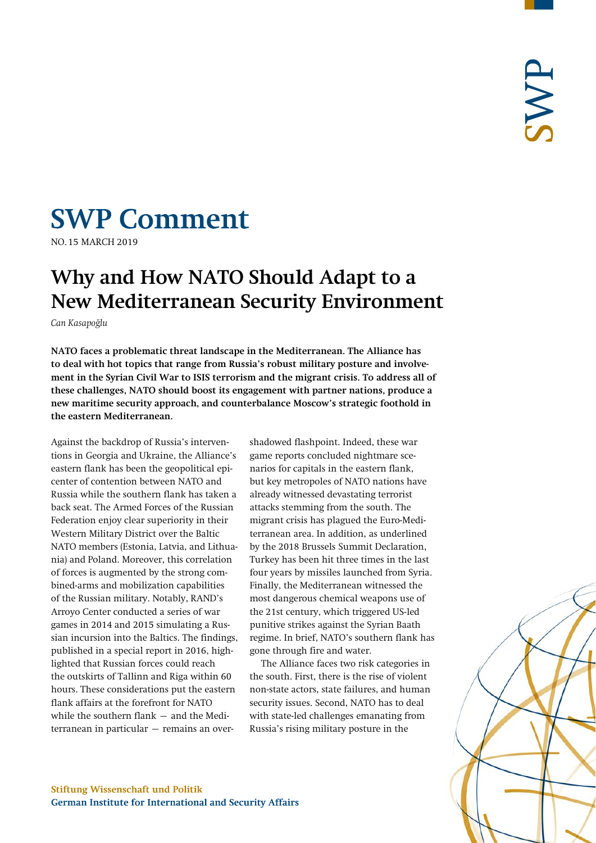# **SWP Comment**

**NO.15 MARCH 2019** 

## **Why and How NATO Should Adapt to a New Mediterranean Security Environment**

*Can Kasapoğlu*

**NATO faces a problematic threat landscape in the Mediterranean. The Alliance has to deal with hot topics that range from Russia's robust military posture and involvement in the Syrian Civil War to ISIS terrorism and the migrant crisis. To address all of these challenges, NATO should boost its engagement with partner nations, produce a new maritime security approach, and counterbalance Moscow's strategic foothold in the eastern Mediterranean.**

Against the backdrop of Russia's interventions in Georgia and Ukraine, the Alliance's eastern flank has been the geopolitical epicenter of contention between NATO and Russia while the southern flank has taken a back seat. The Armed Forces of the Russian Federation enjoy clear superiority in their Western Military District over the Baltic NATO members (Estonia, Latvia, and Lithuania) and Poland. Moreover, this correlation of forces is augmented by the strong combined-arms and mobilization capabilities of the Russian military. Notably, RAND's Arroyo Center conducted a series of war games in 2014 and 2015 simulating a Russian incursion into the Baltics. The findings, published in a special report in 2016, highlighted that Russian forces could reach the outskirts of Tallinn and Riga within 60 hours. These considerations put the eastern flank affairs at the forefront for NATO while the southern flank – and the Mediterranean in particular – remains an over-

shadowed flashpoint. Indeed, these war game reports concluded nightmare scenarios for capitals in the eastern flank, but key metropoles of NATO nations have already witnessed devastating terrorist attacks stemming from the south. The migrant crisis has plagued the Euro-Mediterranean area. In addition, as underlined by the 2018 Brussels Summit Declaration, Turkey has been hit three times in the last four years by missiles launched from Syria. Finally, the Mediterranean witnessed the most dangerous chemical weapons use of the 21st century, which triggered US-led punitive strikes against the Syrian Baath regime. In brief, NATO's southern flank has gone through fire and water.

The Alliance faces two risk categories in the south. First, there is the rise of violent non-state actors, state failures, and human security issues. Second, NATO has to deal with state-led challenges emanating from Russia's rising military posture in the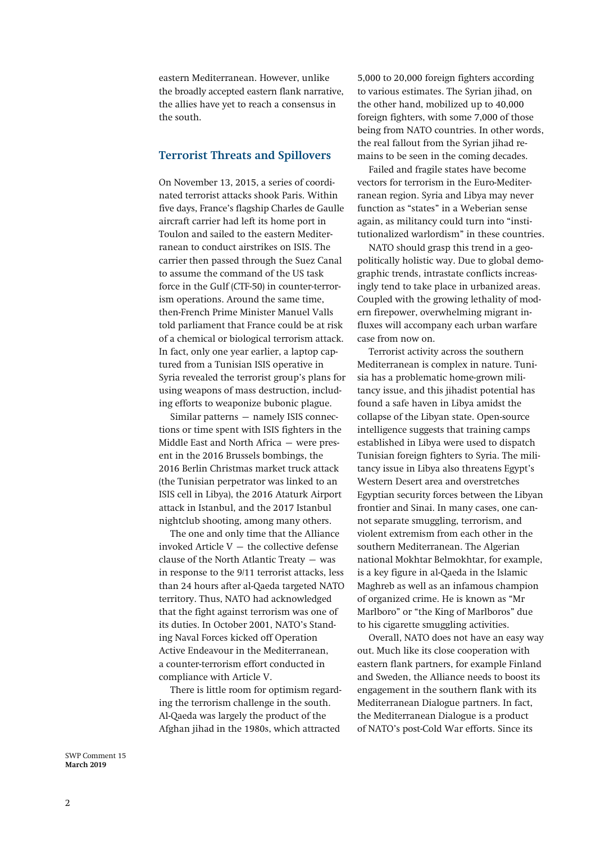eastern Mediterranean. However, unlike the broadly accepted eastern flank narrative, the allies have yet to reach a consensus in the south.

#### **Terrorist Threats and Spillovers**

On November 13, 2015, a series of coordinated terrorist attacks shook Paris. Within five days, France's flagship Charles de Gaulle aircraft carrier had left its home port in Toulon and sailed to the eastern Mediterranean to conduct airstrikes on ISIS. The carrier then passed through the Suez Canal to assume the command of the US task force in the Gulf (CTF-50) in counter-terrorism operations. Around the same time, then-French Prime Minister Manuel Valls told parliament that France could be at risk of a chemical or biological terrorism attack. In fact, only one year earlier, a laptop captured from a Tunisian ISIS operative in Syria revealed the terrorist group's plans for using weapons of mass destruction, including efforts to weaponize bubonic plague.

Similar patterns – namely ISIS connections or time spent with ISIS fighters in the Middle East and North Africa – were present in the 2016 Brussels bombings, the 2016 Berlin Christmas market truck attack (the Tunisian perpetrator was linked to an ISIS cell in Libya), the 2016 Ataturk Airport attack in Istanbul, and the 2017 Istanbul nightclub shooting, among many others.

The one and only time that the Alliance invoked Article  $V -$  the collective defense clause of the North Atlantic Treaty – was in response to the 9/11 terrorist attacks, less than 24 hours after al-Qaeda targeted NATO territory. Thus, NATO had acknowledged that the fight against terrorism was one of its duties. In October 2001, NATO's Standing Naval Forces kicked off Operation Active Endeavour in the Mediterranean, a counter-terrorism effort conducted in compliance with Article V.

There is little room for optimism regarding the terrorism challenge in the south. Al-Qaeda was largely the product of the Afghan jihad in the 1980s, which attracted

5,000 to 20,000 foreign fighters according to various estimates. The Syrian jihad, on the other hand, mobilized up to 40,000 foreign fighters, with some 7,000 of those being from NATO countries. In other words, the real fallout from the Syrian jihad remains to be seen in the coming decades.

Failed and fragile states have become vectors for terrorism in the Euro-Mediterranean region. Syria and Libya may never function as "states" in a Weberian sense again, as militancy could turn into "institutionalized warlordism" in these countries.

NATO should grasp this trend in a geopolitically holistic way. Due to global demographic trends, intrastate conflicts increasingly tend to take place in urbanized areas. Coupled with the growing lethality of modern firepower, overwhelming migrant influxes will accompany each urban warfare case from now on.

Terrorist activity across the southern Mediterranean is complex in nature. Tunisia has a problematic home-grown militancy issue, and this jihadist potential has found a safe haven in Libya amidst the collapse of the Libyan state. Open-source intelligence suggests that training camps established in Libya were used to dispatch Tunisian foreign fighters to Syria. The militancy issue in Libya also threatens Egypt's Western Desert area and overstretches Egyptian security forces between the Libyan frontier and Sinai. In many cases, one cannot separate smuggling, terrorism, and violent extremism from each other in the southern Mediterranean. The Algerian national Mokhtar Belmokhtar, for example, is a key figure in al-Qaeda in the Islamic Maghreb as well as an infamous champion of organized crime. He is known as "Mr Marlboro" or "the King of Marlboros" due to his cigarette smuggling activities.

Overall, NATO does not have an easy way out. Much like its close cooperation with eastern flank partners, for example Finland and Sweden, the Alliance needs to boost its engagement in the southern flank with its Mediterranean Dialogue partners. In fact, the Mediterranean Dialogue is a product of NATO's post-Cold War efforts. Since its

SWP Comment 15 **March 2019**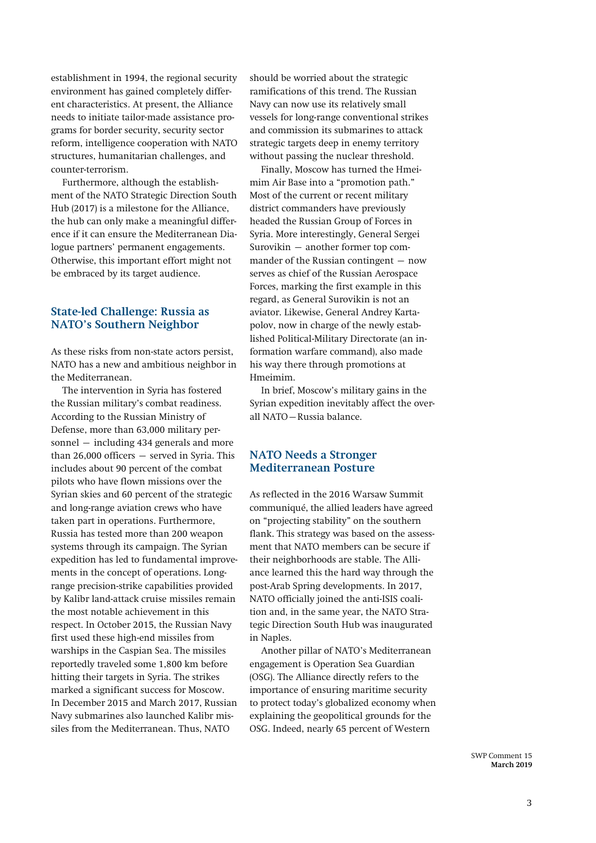establishment in 1994, the regional security environment has gained completely different characteristics. At present, the Alliance needs to initiate tailor-made assistance programs for border security, security sector reform, intelligence cooperation with NATO structures, humanitarian challenges, and counter-terrorism.

Furthermore, although the establishment of the NATO Strategic Direction South Hub (2017) is a milestone for the Alliance, the hub can only make a meaningful difference if it can ensure the Mediterranean Dialogue partners' permanent engagements. Otherwise, this important effort might not be embraced by its target audience.

#### **State-led Challenge: Russia as NATO's Southern Neighbor**

As these risks from non-state actors persist, NATO has a new and ambitious neighbor in the Mediterranean.

The intervention in Syria has fostered the Russian military's combat readiness. According to the Russian Ministry of Defense, more than 63,000 military personnel – including 434 generals and more than 26,000 officers – served in Syria. This includes about 90 percent of the combat pilots who have flown missions over the Syrian skies and 60 percent of the strategic and long-range aviation crews who have taken part in operations. Furthermore, Russia has tested more than 200 weapon systems through its campaign. The Syrian expedition has led to fundamental improvements in the concept of operations. Longrange precision-strike capabilities provided by Kalibr land-attack cruise missiles remain the most notable achievement in this respect. In October 2015, the Russian Navy first used these high-end missiles from warships in the Caspian Sea. The missiles reportedly traveled some 1,800 km before hitting their targets in Syria. The strikes marked a significant success for Moscow. In December 2015 and March 2017, Russian Navy submarines also launched Kalibr missiles from the Mediterranean. Thus, NATO

should be worried about the strategic ramifications of this trend. The Russian Navy can now use its relatively small vessels for long-range conventional strikes and commission its submarines to attack strategic targets deep in enemy territory without passing the nuclear threshold.

Finally, Moscow has turned the Hmeimim Air Base into a "promotion path." Most of the current or recent military district commanders have previously headed the Russian Group of Forces in Syria. More interestingly, General Sergei Surovikin – another former top commander of the Russian contingent  $-$  now serves as chief of the Russian Aerospace Forces, marking the first example in this regard, as General Surovikin is not an aviator. Likewise, General Andrey Kartapolov, now in charge of the newly established Political-Military Directorate (an information warfare command), also made his way there through promotions at Hmeimim.

In brief, Moscow's military gains in the Syrian expedition inevitably affect the overall NATO–Russia balance.

### **NATO Needs a Stronger Mediterranean Posture**

As reflected in the 2016 Warsaw Summit communiqué, the allied leaders have agreed on "projecting stability" on the southern flank. This strategy was based on the assessment that NATO members can be secure if their neighborhoods are stable. The Alliance learned this the hard way through the post-Arab Spring developments. In 2017, NATO officially joined the anti-ISIS coalition and, in the same year, the NATO Strategic Direction South Hub was inaugurated in Naples.

Another pillar of NATO's Mediterranean engagement is Operation Sea Guardian (OSG). The Alliance directly refers to the importance of ensuring maritime security to protect today's globalized economy when explaining the geopolitical grounds for the OSG. Indeed, nearly 65 percent of Western

> SWP Comment 15 **March 2019**